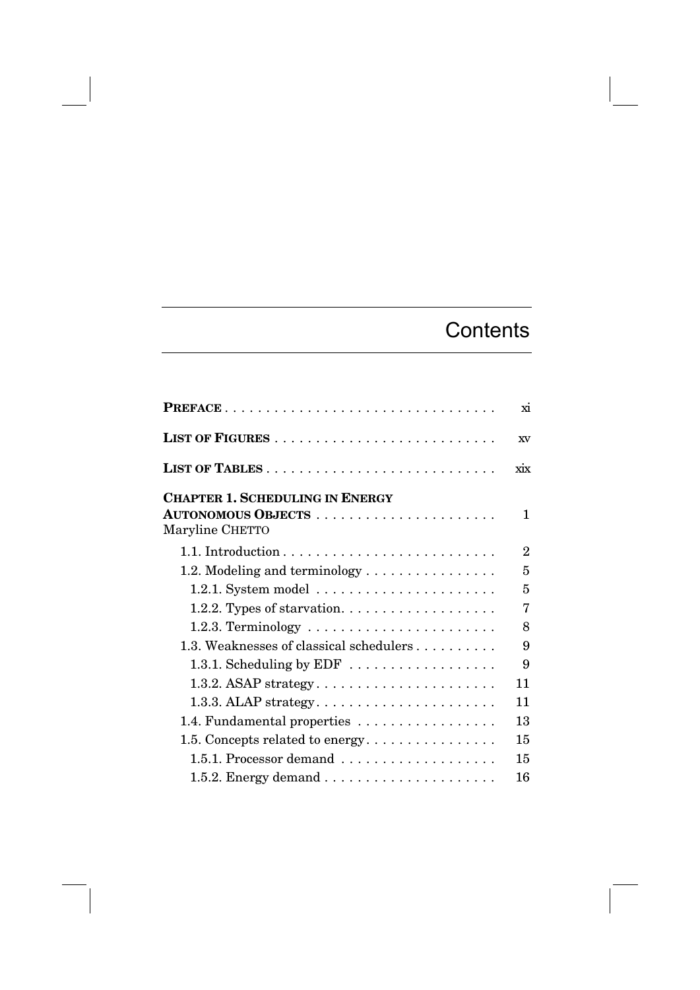## **Contents**

|                                                                      | xi             |
|----------------------------------------------------------------------|----------------|
|                                                                      | XV             |
|                                                                      | $\dot{X}$      |
| <b>CHAPTER 1. SCHEDULING IN ENERGY</b><br>Maryline CHETTO            | 1              |
|                                                                      | $\overline{2}$ |
| 1.2. Modeling and terminology $\dots \dots \dots \dots \dots$        | 5              |
| $1.2.1.$ System model $\ldots \ldots \ldots \ldots \ldots \ldots$    | 5              |
| 1.2.2. Types of starvation. $\dots \dots \dots \dots \dots \dots$    | 7              |
| 1.2.3. Terminology $\dots \dots \dots \dots \dots \dots \dots \dots$ | 8              |
| 1.3. Weaknesses of classical schedulers                              | 9              |
| 1.3.1. Scheduling by $EDF$                                           | 9              |
|                                                                      | 11             |
|                                                                      | 11             |
| 1.4. Fundamental properties                                          | 13             |
|                                                                      | 15             |
| 1.5.1. Processor demand                                              | 15             |
|                                                                      | 16             |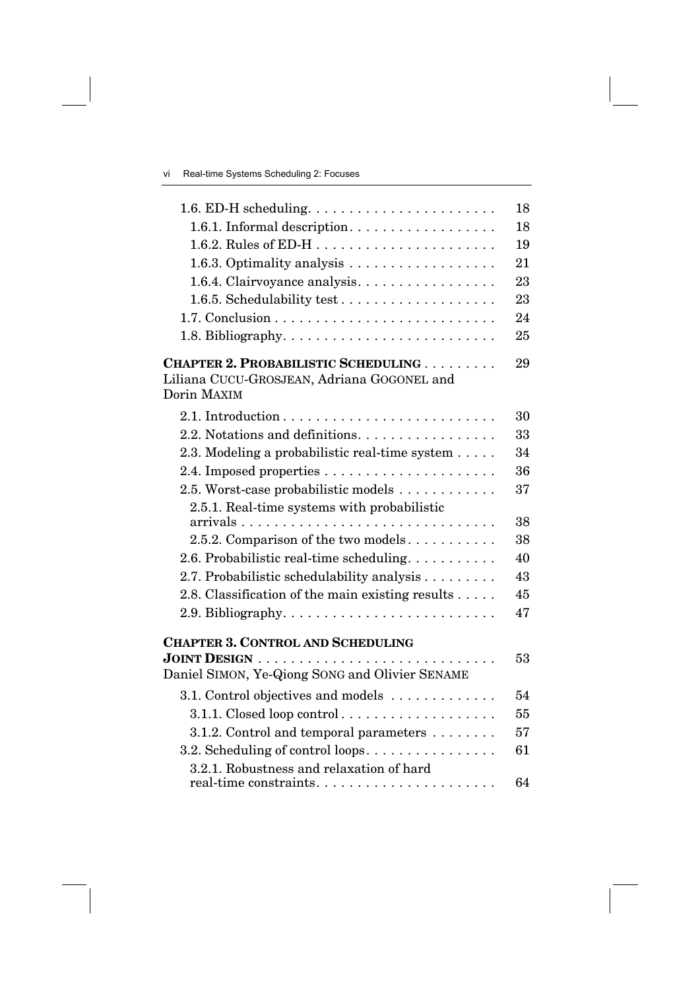| 1.6. ED-H scheduling. $\dots \dots \dots \dots \dots \dots \dots \dots$                     | 18       |
|---------------------------------------------------------------------------------------------|----------|
| 1.6.1. Informal description.                                                                | 18       |
| 1.6.2. Rules of ED-H $\ldots \ldots \ldots \ldots \ldots \ldots$                            | 19       |
| 1.6.3. Optimality analysis $\dots \dots \dots \dots \dots \dots$                            | 21       |
| 1.6.4. Clairvoyance analysis.                                                               | 23       |
|                                                                                             | 23       |
|                                                                                             | 24       |
|                                                                                             | 25       |
| <b>CHAPTER 2. PROBABILISTIC SCHEDULING</b>                                                  | 29       |
| Liliana CUCU-GROSJEAN, Adriana GOGONEL and                                                  |          |
| Dorin MAXIM                                                                                 |          |
|                                                                                             | 30       |
| 2.2. Notations and definitions.                                                             | 33       |
| 2.3. Modeling a probabilistic real-time system                                              | 34       |
|                                                                                             | 36       |
| 2.5. Worst-case probabilistic models                                                        | 37       |
| 2.5.1. Real-time systems with probabilistic                                                 |          |
|                                                                                             | 38<br>38 |
| 2.5.2. Comparison of the two models                                                         | 40       |
| 2.6. Probabilistic real-time scheduling.                                                    | 43       |
| 2.7. Probabilistic schedulability analysis                                                  |          |
| 2.8. Classification of the main existing results $\dots$ .                                  | 45       |
|                                                                                             | 47       |
| <b>CHAPTER 3. CONTROL AND SCHEDULING</b>                                                    |          |
| JOINT DESIGN $\ldots \ldots \ldots \ldots \ldots \ldots \ldots \ldots \ldots \ldots \ldots$ | 53       |
| Daniel SIMON, Ye-Qiong SONG and Olivier SENAME                                              |          |
| 3.1. Control objectives and models                                                          | 54       |
|                                                                                             | 55       |
| 3.1.2. Control and temporal parameters                                                      | 57       |
| 3.2. Scheduling of control loops                                                            | 61       |
| 3.2.1. Robustness and relaxation of hard                                                    |          |
|                                                                                             | 64       |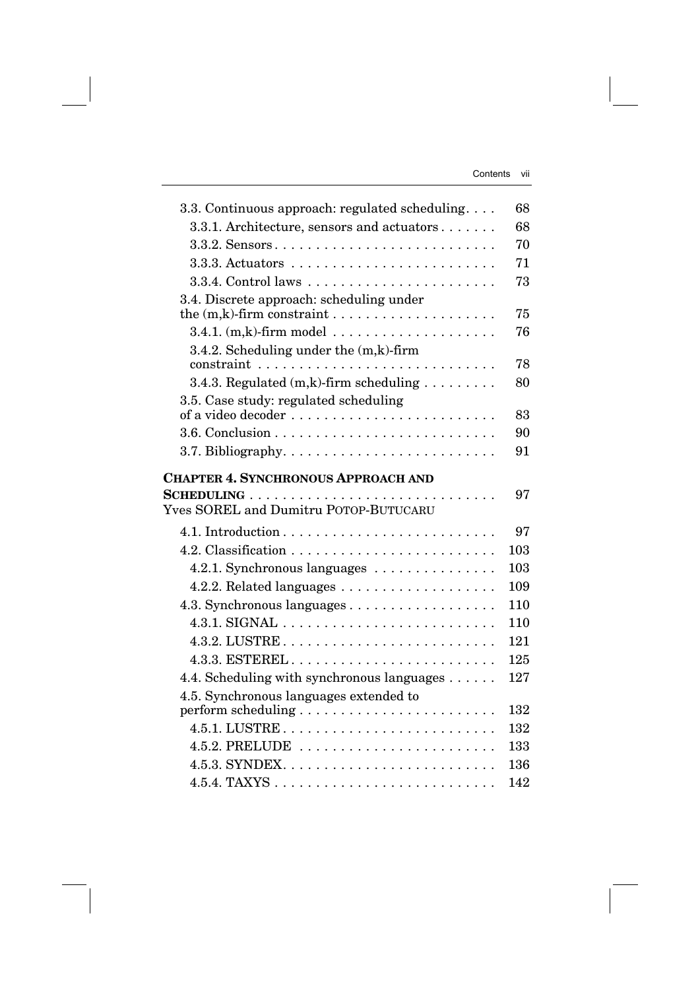| 3.3. Continuous approach: regulated scheduling            | 68  |
|-----------------------------------------------------------|-----|
| 3.3.1. Architecture, sensors and actuators                | 68  |
|                                                           | 70  |
|                                                           | 71  |
|                                                           | 73  |
| 3.4. Discrete approach: scheduling under                  |     |
|                                                           | 75  |
| $3.4.1.$ (m,k)-firm model                                 | 76  |
| 3.4.2. Scheduling under the (m,k)-firm                    |     |
|                                                           | 78  |
| 3.4.3. Regulated $(m,k)$ -firm scheduling $\ldots \ldots$ | 80  |
| 3.5. Case study: regulated scheduling                     |     |
|                                                           | 83  |
|                                                           | 90  |
|                                                           | 91  |
|                                                           |     |
| <b>CHAPTER 4. SYNCHRONOUS APPROACH AND</b>                |     |
|                                                           | 97  |
| Yves SOREL and Dumitru POTOP-BUTUCARU                     |     |
|                                                           | 97  |
|                                                           | 103 |
| 4.2.1. Synchronous languages                              | 103 |
|                                                           | 109 |
|                                                           | 110 |
|                                                           | 110 |
|                                                           | 121 |
|                                                           | 125 |
|                                                           | 127 |
| 4.4. Scheduling with synchronous languages                |     |
| 4.5. Synchronous languages extended to                    | 132 |
|                                                           | 132 |
| 4.5.2. PRELUDE                                            | 133 |
|                                                           | 136 |
|                                                           | 142 |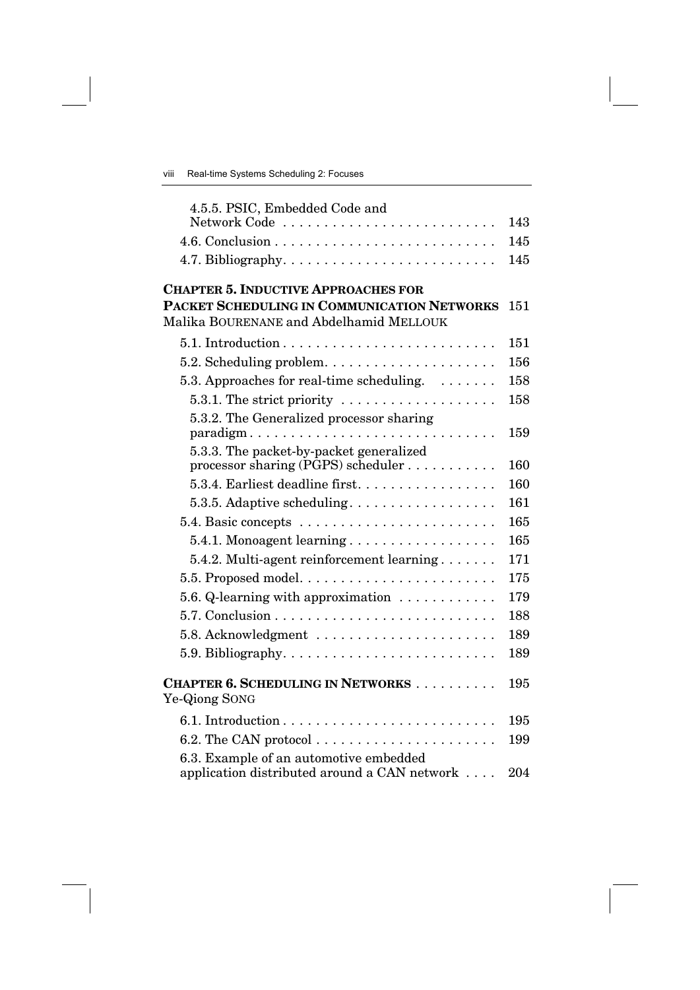| 4.5.5. PSIC, Embedded Code and                                                         |     |
|----------------------------------------------------------------------------------------|-----|
|                                                                                        | 143 |
|                                                                                        | 145 |
|                                                                                        | 145 |
| <b>CHAPTER 5. INDUCTIVE APPROACHES FOR</b>                                             |     |
| PACKET SCHEDULING IN COMMUNICATION NETWORKS<br>Malika BOURENANE and Abdelhamid MELLOUK | 151 |
|                                                                                        | 151 |
|                                                                                        |     |
| $5.2.$ Scheduling problem. $\ldots \ldots \ldots \ldots \ldots \ldots$                 | 156 |
| 5.3. Approaches for real-time scheduling. $\dots \dots$                                | 158 |
| 5.3.1. The strict priority $\dots \dots \dots \dots \dots \dots$                       | 158 |
| 5.3.2. The Generalized processor sharing<br>paradigm                                   | 159 |
| 5.3.3. The packet-by-packet generalized                                                |     |
| processor sharing (PGPS) scheduler $\dots \dots \dots$                                 | 160 |
| 5.3.4. Earliest deadline first                                                         | 160 |
| 5.3.5. Adaptive scheduling                                                             | 161 |
|                                                                                        | 165 |
| 5.4.1. Monoagent learning                                                              | 165 |
| $5.4.2$ . Multi-agent reinforcement learning $\ldots \ldots$                           | 171 |
|                                                                                        | 175 |
| 5.6. Q-learning with approximation                                                     | 179 |
|                                                                                        | 188 |
| 5.8. Acknowledgment                                                                    | 189 |
| 5.9. Bibliography. $\dots \dots \dots \dots \dots \dots \dots \dots \dots$             | 189 |
| <b>CHAPTER 6. SCHEDULING IN NETWORKS</b><br>Ye-Qiong SONG                              | 195 |
|                                                                                        | 195 |
| 6.2. The CAN protocol $\ldots \ldots \ldots \ldots \ldots \ldots \ldots$               | 199 |
| 6.3. Example of an automotive embedded<br>application distributed around a CAN network | 204 |